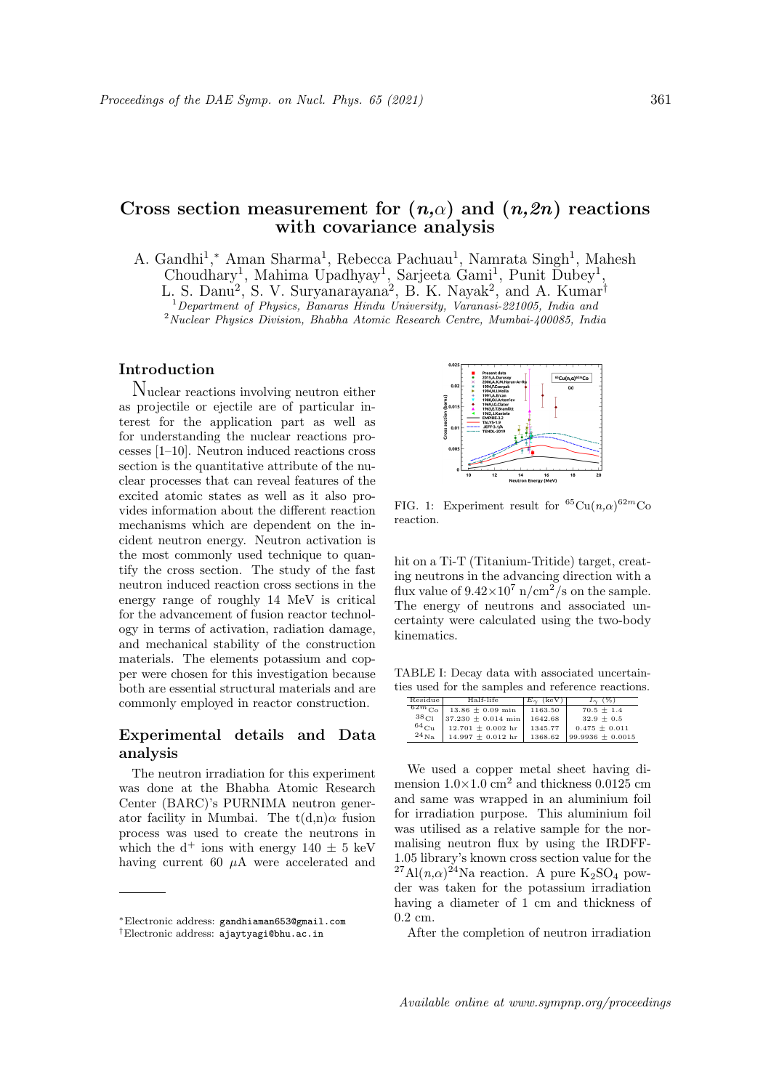# Cross section measurement for  $(n,\alpha)$  and  $(n,2n)$  reactions with covariance analysis

A. Gandhi<sup>1</sup>,\* Aman Sharma<sup>1</sup>, Rebecca Pachuau<sup>1</sup>, Namrata Singh<sup>1</sup>, Mahesh Choudhary<sup>1</sup>, Mahima Upadhyay<sup>1</sup>, Sarjeeta Gami<sup>1</sup>, Punit Dubey<sup>1</sup>, L. S. Danu<sup>2</sup>, S. V. Suryanarayana<sup>2</sup>, B. K. Nayak<sup>2</sup>, and A. Kumar<sup>†</sup> <sup>1</sup> Department of Physics, Banaras Hindu University, Varanasi-221005, India and <sup>2</sup>Nuclear Physics Division, Bhabha Atomic Research Centre, Mumbai-400085, India

#### Introduction

Nuclear reactions involving neutron either as projectile or ejectile are of particular interest for the application part as well as for understanding the nuclear reactions processes [1–10]. Neutron induced reactions cross section is the quantitative attribute of the nuclear processes that can reveal features of the excited atomic states as well as it also provides information about the different reaction mechanisms which are dependent on the incident neutron energy. Neutron activation is the most commonly used technique to quantify the cross section. The study of the fast neutron induced reaction cross sections in the energy range of roughly 14 MeV is critical for the advancement of fusion reactor technology in terms of activation, radiation damage, and mechanical stability of the construction materials. The elements potassium and copper were chosen for this investigation because both are essential structural materials and are commonly employed in reactor construction.

## Experimental details and Data analysis

The neutron irradiation for this experiment was done at the Bhabha Atomic Research Center (BARC)'s PURNIMA neutron generator facility in Mumbai. The  $t(d,n)\alpha$  fusion process was used to create the neutrons in which the  $d^+$  ions with energy  $140 \pm 5$  keV having current 60  $\mu$ A were accelerated and



FIG. 1: Experiment result for  ${}^{65}Cu(n,\alpha){}^{62m}Co$ reaction.

hit on a Ti-T (Titanium-Tritide) target, creating neutrons in the advancing direction with a flux value of  $9.42 \times 10^7$  n/cm<sup>2</sup>/s on the sample. The energy of neutrons and associated uncertainty were calculated using the two-body kinematics.

TABLE I: Decay data with associated uncertainties used for the samples and reference reactions.

| Residue          | Half-life                                     | $E_{\gamma}$ (keV) | $I_{\gamma}$ (%)               |
|------------------|-----------------------------------------------|--------------------|--------------------------------|
|                  | $\sqrt{62m_{\text{Co}}}$ 13.86 $\pm$ 0.09 min | 1163.50            | $70.5 + 1.4$                   |
| $38_{\text{Cl}}$ | $37.230 \pm 0.014$ min                        | 1642.68            | $32.9 + 0.5$                   |
| $^{64}$ Cu       | $12.701 \pm 0.002$ hr                         | 1345.77            | $0.475 + 0.011$                |
| $^{24}$ Na       | $14.997 \pm 0.012$ hr                         |                    | $1368.62$ 99.9936 $\pm$ 0.0015 |

We used a copper metal sheet having dimension  $1.0\times1.0$  cm<sup>2</sup> and thickness 0.0125 cm and same was wrapped in an aluminium foil for irradiation purpose. This aluminium foil was utilised as a relative sample for the normalising neutron flux by using the IRDFF-1.05 library's known cross section value for the <sup>27</sup>Al( $n,\alpha$ )<sup>24</sup>Na reaction. A pure K<sub>2</sub>SO<sub>4</sub> powder was taken for the potassium irradiation having a diameter of 1 cm and thickness of 0.2 cm.

After the completion of neutron irradiation

<sup>∗</sup>Electronic address: gandhiaman653@gmail.com

<sup>†</sup>Electronic address: ajaytyagi@bhu.ac.in